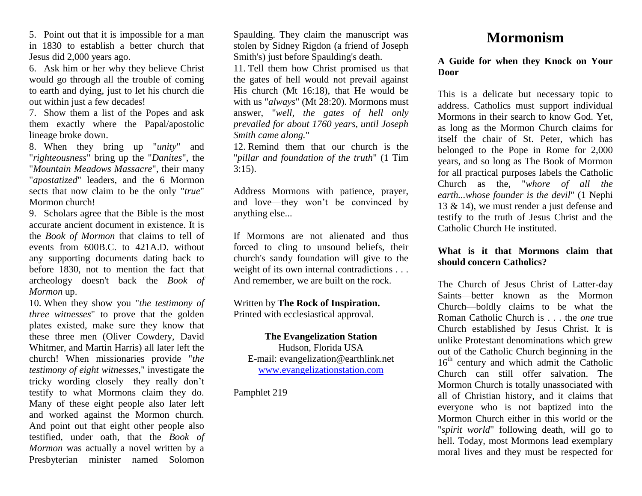5. Point out that it is impossible for a man in 1830 to establish a better church that Jesus did 2,000 years ago.

6. Ask him or her why they believe Christ would go through all the trouble of coming to earth and dying, just to let his church die out within just a few decades!

7. Show them a list of the Popes and ask them exactly where the Papal/apostolic lineage broke down.

8. When they bring up "*unity*" and "*righteousness*" bring up the "*Danites*", the "*Mountain Meadows Massacre*", their many "*apostatized*" leaders, and the 6 Mormon sects that now claim to be the only "*true*" Mormon church!

9. Scholars agree that the Bible is the most accurate ancient document in existence. It is the *Book of Mormon* that claims to tell of events from 600B.C. to 421A.D. without any supporting documents dating back to before 1830, not to mention the fact that archeology doesn't back the *Book of Mormon* up.

10. When they show you "*the testimony of three witnesses*" to prove that the golden plates existed, make sure they know that these three men (Oliver Cowdery, David Whitmer, and Martin Harris) all later left the church! When missionaries provide "*the testimony of eight witnesses*," investigate the tricky wording closely—they really don't testify to what Mormons claim they do. Many of these eight people also later left and worked against the Mormon church. And point out that eight other people also testified, under oath, that the *Book of Mormon* was actually a novel written by a Presbyterian minister named Solomon

Spaulding. They claim the manuscript was stolen by Sidney Rigdon (a friend of Joseph Smith's) just before Spaulding's death.

11. Tell them how Christ promised us that the gates of hell would not prevail against His church (Mt 16:18), that He would be with us "*always*" (Mt 28:20). Mormons must answer, "*well, the gates of hell only prevailed for about 1760 years, until Joseph Smith came along.*"

12. Remind them that our church is the "*pillar and foundation of the truth*" (1 Tim 3:15).

Address Mormons with patience, prayer, and love—they won't be convinced by anything else...

If Mormons are not alienated and thus forced to cling to unsound beliefs, their church's sandy foundation will give to the weight of its own internal contradictions . . . And remember, we are built on the rock.

Written by **The Rock of Inspiration.** Printed with ecclesiastical approval.

**The Evangelization Station** Hudson, Florida USA E-mail: evangelization@earthlink.net [www.evangelizationstation.com](http://www.pjpiisoe.org/)

Pamphlet 219

# **Mormonism**

#### **A Guide for when they Knock on Your Door**

This is a delicate but necessary topic to address. Catholics must support individual Mormons in their search to know God. Yet, as long as the Mormon Church claims for itself the chair of St. Peter, which has belonged to the Pope in Rome for 2,000 years, and so long as The Book of Mormon for all practical purposes labels the Catholic Church as the, "*whore of all the earth...whose founder is the devil*" (1 Nephi 13 & 14), we must render a just defense and testify to the truth of Jesus Christ and the Catholic Church He instituted.

## **What is it that Mormons claim that should concern Catholics?**

The Church of Jesus Christ of Latter-day Saints—better known as the Mormon Church—boldly claims to be what the Roman Catholic Church is . . . the *one* true Church established by Jesus Christ. It is unlike Protestant denominations which grew out of the Catholic Church beginning in the  $16<sup>th</sup>$  century and which admit the Catholic Church can still offer salvation. The Mormon Church is totally unassociated with all of Christian history, and it claims that everyone who is not baptized into the Mormon Church either in this world or the "*spirit world*" following death, will go to hell. Today, most Mormons lead exemplary moral lives and they must be respected for